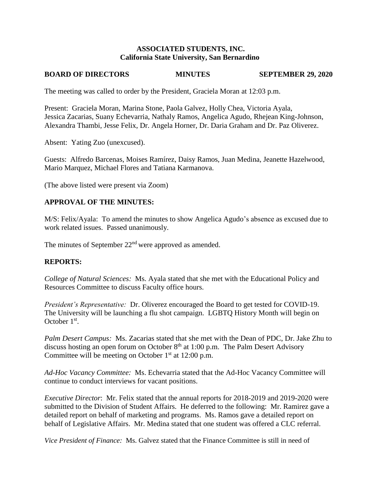#### **ASSOCIATED STUDENTS, INC. California State University, San Bernardino**

# **BOARD OF DIRECTORS MINUTES SEPTEMBER 29, 2020**

The meeting was called to order by the President, Graciela Moran at 12:03 p.m.

Present: Graciela Moran, Marina Stone, Paola Galvez, Holly Chea, Victoria Ayala, Jessica Zacarias, Suany Echevarria, Nathaly Ramos, Angelica Agudo, Rhejean King-Johnson, Alexandra Thambi, Jesse Felix, Dr. Angela Horner, Dr. Daria Graham and Dr. Paz Oliverez.

Absent: Yating Zuo (unexcused).

Guests: Alfredo Barcenas, Moises Ramírez, Daisy Ramos, Juan Medina, Jeanette Hazelwood, Mario Marquez, Michael Flores and Tatiana Karmanova.

(The above listed were present via Zoom)

# **APPROVAL OF THE MINUTES:**

M/S: Felix/Ayala: To amend the minutes to show Angelica Agudo's absence as excused due to work related issues. Passed unanimously.

The minutes of September 22<sup>nd</sup> were approved as amended.

# **REPORTS:**

*College of Natural Sciences:* Ms. Ayala stated that she met with the Educational Policy and Resources Committee to discuss Faculty office hours.

*President's Representative:* Dr. Oliverez encouraged the Board to get tested for COVID-19. The University will be launching a flu shot campaign. LGBTQ History Month will begin on October  $1<sup>st</sup>$ .

*Palm Desert Campus:* Ms. Zacarias stated that she met with the Dean of PDC, Dr. Jake Zhu to discuss hosting an open forum on October  $8<sup>th</sup>$  at 1:00 p.m. The Palm Desert Advisory Committee will be meeting on October  $1<sup>st</sup>$  at 12:00 p.m.

*Ad-Hoc Vacancy Committee:* Ms. Echevarria stated that the Ad-Hoc Vacancy Committee will continue to conduct interviews for vacant positions.

*Executive Director*: Mr. Felix stated that the annual reports for 2018-2019 and 2019-2020 were submitted to the Division of Student Affairs. He deferred to the following: Mr. Ramirez gave a detailed report on behalf of marketing and programs. Ms. Ramos gave a detailed report on behalf of Legislative Affairs. Mr. Medina stated that one student was offered a CLC referral.

*Vice President of Finance:* Ms. Galvez stated that the Finance Committee is still in need of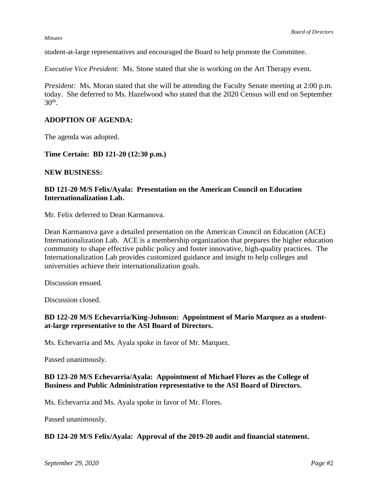#### *Minutes*

student-at-large representatives and encouraged the Board to help promote the Committee.

*Executive Vice President:* Ms. Stone stated that she is working on the Art Therapy event.

*President:* Ms. Moran stated that she will be attending the Faculty Senate meeting at 2:00 p.m. today. She deferred to Ms. Hazelwood who stated that the 2020 Census will end on September  $30<sup>th</sup>$ .

# **ADOPTION OF AGENDA:**

The agenda was adopted.

**Time Certain: BD 121-20 (12:30 p.m.)**

#### **NEW BUSINESS:**

## **BD 121-20 M/S Felix/Ayala: Presentation on the American Council on Education Internationalization Lab.**

Mr. Felix deferred to Dean Karmanova.

Dean Karmanova gave a detailed presentation on the American Council on Education (ACE) Internationalization Lab. ACE is a membership organization that prepares the higher education community to shape effective public policy and foster innovative, high-quality practices. The Internationalization Lab provides customized guidance and insight to help colleges and universities achieve their internationalization goals.

Discussion ensued.

Discussion closed.

## **BD 122-20 M/S Echevarria/King-Johnson: Appointment of Mario Marquez as a studentat-large representative to the ASI Board of Directors.**

Ms. Echevarria and Ms. Ayala spoke in favor of Mr. Marquez.

Passed unanimously.

#### **BD 123-20 M/S Echevarria/Ayala: Appointment of Michael Flores as the College of Business and Public Administration representative to the ASI Board of Directors.**

Ms. Echevarria and Ms. Ayala spoke in favor of Mr. Flores.

Passed unanimously.

#### **BD 124-20 M/S Felix/Ayala: Approval of the 2019-20 audit and financial statement.**